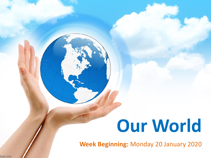# **Our World**

**Week Beginning:** Monday 20 January 2020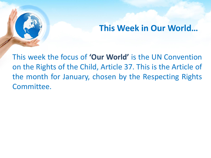## **This Week in Our World…**

This week the focus of **'Our World'** is the UN Convention on the Rights of the Child, Article 37. This is the Article of the month for January, chosen by the Respecting Rights Committee.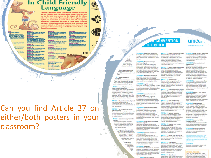### **In Child Friendly Language**

"Rights" are things every child should have or be able to do. All children have the same rights. These rights are listed in the UN Convention on the Rights of the Child. Almost every country has agreed to these rights. All the rights are connected to each other, and all are equally Important. Sometimes, we have to think about rights in terms of what is the best for children in a situation, and what is critical to life and protection from harm. As you grow, you have more responsibility to make choices and rdse your rights.



tay to belowing

make some floor the a bu han the edit to be cannel by your year.

index to special cars and belp of 9), as well as all the region as the

the sale is good shapped as<br>for the control of a site

**In case pos** 

can the indic to a good quality education .<br>A shipta - a ang yan dan alima<br>Anipasang yang uni yasa any and subjection ticlo 34<br>han fo opt tryin admit on the right to production from work the<br>you, and in host for your beauty and other<br>. If you work, you have therebye write

an the right to protection from hor<br>und from the ding tools.

stadio 34<br>Compiles Agina<br>Compiles Antoni

sen alumni sugarsh.<br>In seni a hundel ma

**Ades 43 to 54** 

ingle to best belp and far true

ъ

Can you find Article 37 on either/both posters in your classroom?

### **N CONVENTION THE CHILD**

ARTICLE 13 (freedom of expression) Every child must be free to express their thoughts and coinigns and to access all kinds of information, as long as it is within the law.

### ARTICLE 14 (treedom of thought, belief and religion)

Every child has the right to think and beleve what they choose and also to practise their religion, as long as they are not stopping other people from enjoying their rights. Governments must respect the rights and responsibilities of patents to guide their child as they grow up. in all decisions and actions that

ARTICLE 15 Hyestom of association! Every child has the right to meet with other children and to join groups and organisations, as long as this does not stop mments must do all they can to make other people from enjoying their rights.

> ARTICLE 16 pight to privacy) Every child has the right to privacy. The law should protect the child's private, family and home life, including protecting children from unlawful attacks that harm their regard solicies.

ARTICLE 17 (access to information from the media)<br>Every child has the right to reliable information from a variety of sources and governments should encourage the ARTICLE 6 (Me, survival and development) media to provide information that children can understand. Governments must help protect children from materials that could harm them.

### ARTICLE 18 (parental responsibilities) and state assistance)

Both parents share responsibility for bringing up their child and should always consider what is best for the child. Governments must support parents by creating support services for children and giving parents the help they reed to raise their children

### ARTICLE 19 (protection from violence, abuse and neglect

Governments must do all they can to ensure that children are protected from all forms of violence, abuse, neglect and bad treatment by their parents or anyone else who looks after them.

with their family! If a child cannot be looked after by

must give them special protection and nce. This includes making sure the child is provided with alternative can that is continuous and respects the child's culture, language and religion

Governments must oversee the process of adoption to make sure it is safe, bradyl and that it prioritiess children's best interests. Children should only be adopted outside of their country if they careed be placed with a family in their own country.

ARTICLE 24 (health and health services) Every child has the right to the best possible health. Governments must provide good quality health care, clean water, rastritious food, and a clean environment and education on health and well-being so that children can stay healthy. Richer countries must help poorer countries achieve this.

ARTICLE 25 (review of treatment in care) If a child has been placed away from harres for the purpose of care or protection for assemble, with a foster amily or in hospital), they have the right to a regular review of their treatment the way they are cared for and their wider circumstances

**ARTICLE 26 (social security)** Every child has the right to benefit from social security. Governments must provide spojal security, including financial support and other benefits, to families in need of assistance.

### ARTICLE 27 (adequate standard of Eving) Every child has the right to a standard of Iving that is good enough to meet their physical and social needs and support their development. Governments must help families who cannot afford to

provide this ARTICLE 28 (right to education) Primary education must be free and

must be available to every child. Discipline<br>in achools must respect children's dignity and their rights. Richer countries must help pooter countries achieve this. **ARTICLE 29 (goals of education)** 

Education must develop every child's sonality, talents and abilities to the full. It must encourage the child's respect for human rights, as well as respect for their parents, their own and other cultures, and the environment.

or indigenous groups)

use the language, customs and religion of their family, whether or not these are shared by the majority of the people in the country educe they live.

ARTICLE 31 (lettum, play and cultural Every child has the right to raise, play and take part in a wide range of cultural and artistic activities.

### ARTICLE 32 (child labour)

**ARTICLE 45** Governments must protect children hom economic exploitation and work that is Unical can provide expert advice and dangerous or might harm their health, assistance on children's rights. development or education. Governments result pat a minimum age for children to work and eraure that work conditions are sale and appropriate.

### PTUMAL PROTOCOLS There are three agreements, called

Optional Protocols, that strengthen the Convention and add further unique table for children. Thay are optional

ARTICLE 36 (other forms of exploitation) Gregoria

nts must protect children from all other forms of exploitation. for example the exploitation of children for political activities, by the media or for medical research

 $unice<sub>1</sub>$ 

UNITED KINGDOM

### **ARTICLE 37 Onhumane treatment**

and detention! Children must not be tortuned. sentenced to the death penalty or suffer other cruel or degrading treatment or punishment. Children should be arrested, detained or imprisoned only as a last resort and for the shortest time possible. They must be treated with respect and care, and be able to keep in contact with their family. Children must not be put in prison with adults.

ARTICLE 38 (war and armed conflicts) Governments must not allow children under the age of 15 to take part in war or join the armed forces. Government must do everything they can to protect and care for children affected by war and arread conflicts.

### ARTICLE 39 (recovery from trauma

and reintegration)<br>Children who have experienced neglect, abuse, exploitation, torture or who are lebes evison taurt way to arrely support to help them recover their health.

### Every child has the right to an education.

**ARTICLE 40 Buyerile ketical** different forms of secondary education

### **ARTICLE 30 schildren from minority**

their invitediate family. the povemment

*<u>Phair parent</u>* **VISI COLESY TARR** 

ARTICLE 21 (adoption)

3.8.22 pakanaa childh

ARTICLE 33 (drug abuse) Governments must protect children from

that diamal case of decays and from battery

dignity, salf-respect and spcial like

A child accused or guilty of breaking the law must be treated with dignity and respect. They have the right to legal assistance and a fair trial that takes account of their age. Governments must set a minimum age for children to be tried in a criminal court and manage a justice system that enables children who have been in conflict with the law to

neintegrate into society. ARTICLE 41 (respect for higher

### (ubudamal atangkan

If a country has lews and standards that go further than the present Convention,<br>then the country must keep these favor.

ARTICLE 42 (knowledge of rights) Governments must actively work to make sure children and adults know about the Convention.

The Convention has 54 articles in total Articles 43-54 are about how adults and governments must work logather to make even all children can enjoy all their rights, including

Every child has the right to learn and

ARTICLE 20 schildren smable to live

Sume them harm. sunification) vid quickly and

ensure that children survive and develop to their full potential. **ARTICLE 7 @irth registration, name,** nationality, carel Every child has the right to be registered at birth, to have a name and nationality, and,

### as far as possible, to know and be cared for by their parents.

**INTICLE B garatection and preservation** identity)

vry child has the right to an identity.

wrements must respect and protect<br>right, and prevent the child's name, ality or family relationships from changed unlawfully.

**19 (separation from parenta)** yeat not be asparated from their Virust their will unless it is in their v that excernale. If a content in lecting a child). Children have apparated have the vitact with both parents

provide quidance and direction to their child as they grow up, so that they fully enjoy their rights. This must be done in a way that recognises the child's increasing

Ø\$

it <sub>dil</sub> ä

经

 $\mathbf{o}$ 

unic

### ating systems and passing laws that mote and protect children's rights. **/KTICLE 5 (parental guidance and a** child's evolving capacities)<br>Governments must respect the rights and responsibilities of parents and carers to

capacity to make their own choices

Governments must do all they can to

Every child has the right to life

LE 4 (implementation of

every child can enjoy their rights by

swertioni

**Akard** 

every child<br>shakever their

on, language.

status schatego

Afterlever their family

cent interests of the child)

its of the child must be a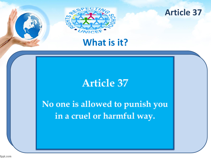



## **What is it?**

## **Article 37**

No one is allowed to punish you in a cruel or harmful way.

fppt.com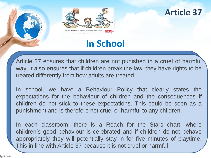

### **Article 37**

## **In School**

Article 37 ensures that children are not punished in a cruel of harmful way. It also ensures that if children break the law, they have rights to be treated differently from how adults are treated.

In school, we have a Behaviour Policy that clearly states the expectations for the behaviour of children and the consequences if children do not stick to these expectations. This could be seen as a punishment and is therefore not cruel or harmful to any children.

In each classroom, there is a Reach for the Stars chart, where children's good behaviour is celebrated and if children do not behave appropriately they will potentially stay in for five minutes of playtime. This in line with Article 37 because it is not cruel or harmful.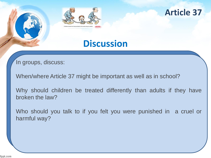



## **Discussion**

In groups, discuss:

When/where Article 37 might be important as well as in school?

Why should children be treated differently than adults if they have broken the law?

Who should you talk to if you felt you were punished in a cruel or harmful way?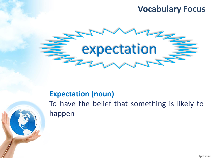## **Vocabulary Focus**



### **Expectation (noun)**

To have the belief that something is likely to happen